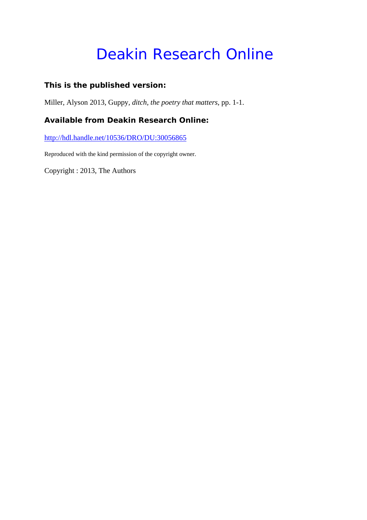# Deakin Research Online

# **This is the published version:**

Miller, Alyson 2013, Guppy*, ditch, the poetry that matters*, pp. 1-1.

# **Available from Deakin Research Online:**

http://hdl.handle.net/10536/DRO/DU:30056865

Reproduced with the kind permission of the copyright owner.

Copyright : 2013, The Authors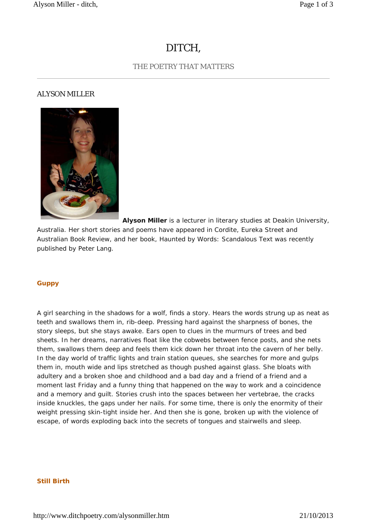# DITCH,

## THE POETRY THAT MATTERS

### ALYSON MILLER



**Alyson Miller** is a lecturer in literary studies at Deakin University, Australia. Her short stories and poems have appeared in *Cordite*, *Eureka Street* and *Australian Book Review,* and her book, *Haunted by Words: Scandalous Text* was recently published by Peter Lang.

#### **Guppy**

A girl searching in the shadows for a wolf, finds a story. Hears the words strung up as neat as teeth and swallows them in, rib-deep. Pressing hard against the sharpness of bones, the story sleeps, but she stays awake. Ears open to clues in the murmurs of trees and bed sheets. In her dreams, narratives float like the cobwebs between fence posts, and she nets them, swallows them deep and feels them kick down her throat into the cavern of her belly. In the day world of traffic lights and train station queues, she searches for more and gulps them in, mouth wide and lips stretched as though pushed against glass. She bloats with adultery and a broken shoe and childhood and a bad day and a friend of a friend and a moment last Friday and a funny thing that happened on the way to work and a coincidence and a memory and guilt. Stories crush into the spaces between her vertebrae, the cracks inside knuckles, the gaps under her nails. For some time, there is only the enormity of their weight pressing skin-tight inside her. And then she is gone, broken up with the violence of escape, of words exploding back into the secrets of tongues and stairwells and sleep.

#### **Still Birth**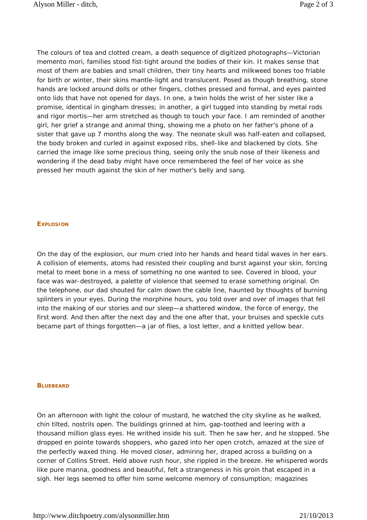The colours of tea and clotted cream, a death sequence of digitized photographs—Victorian memento mori, families stood fist-tight around the bodies of their kin. It makes sense that most of them are babies and small children, their tiny hearts and milkweed bones too friable for birth or winter, their skins mantle-light and translucent. Posed as though breathing, stone hands are locked around dolls or other fingers, clothes pressed and formal, and eyes painted onto lids that have not opened for days. In one, a twin holds the wrist of her sister like a promise, identical in gingham dresses; in another, a girl tugged into standing by metal rods and rigor mortis—her arm stretched as though to touch your face. I am reminded of another girl, her grief a strange and animal thing, showing me a photo on her father's phone of a sister that gave up 7 months along the way. The neonate skull was half-eaten and collapsed, the body broken and curled in against exposed ribs, shell-like and blackened by clots. She carried the image like some precious thing, seeing only the snub nose of their likeness and wondering if the dead baby might have once remembered the feel of her voice as she pressed her mouth against the skin of her mother's belly and sang.

#### **EXPLOSION**

On the day of the explosion, our mum cried into her hands and heard tidal waves in her ears. A collision of elements, atoms had resisted their coupling and burst against your skin, forcing metal to meet bone in a mess of something no one wanted to see. Covered in blood, your face was war-destroyed, a palette of violence that seemed to erase something original. On the telephone, our dad shouted for calm down the cable line, haunted by thoughts of burning splinters in your eyes. During the morphine hours, you told over and over of images that fell into the making of our stories and our sleep—a shattered window, the force of energy, the first word. And then after the next day and the one after that, your bruises and speckle cuts became part of things forgotten—a jar of flies, a lost letter, and a knitted yellow bear.

#### **BLUEBEARD**

On an afternoon with light the colour of mustard, he watched the city skyline as he walked, chin tilted, nostrils open. The buildings grinned at him, gap-toothed and leering with a thousand million glass eyes. He writhed inside his suit. Then he saw her, and he stopped. She dropped *en pointe* towards shoppers, who gazed into her open crotch, amazed at the size of the perfectly waxed thing. He moved closer, admiring her, draped across a building on a corner of Collins Street. Held above rush hour, she rippled in the breeze. He whispered words like *pure manna*, *goodness* and *beautiful*, felt a strangeness in his groin that escaped in a sigh. Her legs seemed to offer him some welcome memory of consumption; magazines